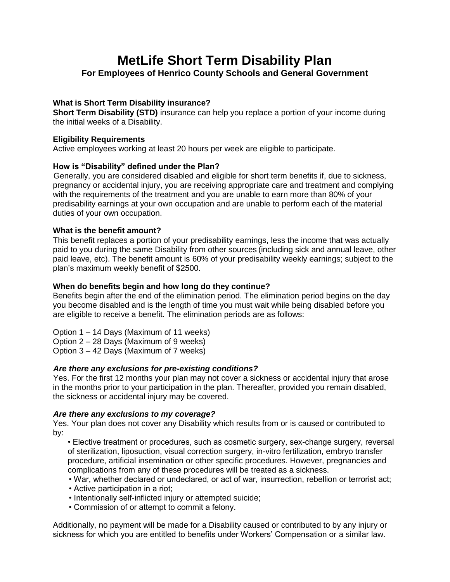# **MetLife Short Term Disability Plan**

# **For Employees of Henrico County Schools and General Government**

# **What is Short Term Disability insurance?**

**Short Term Disability (STD)** insurance can help you replace a portion of your income during the initial weeks of a Disability.

#### **Eligibility Requirements**

Active employees working at least 20 hours per week are eligible to participate.

## **How is "Disability" defined under the Plan?**

Generally, you are considered disabled and eligible for short term benefits if, due to sickness, pregnancy or accidental injury, you are receiving appropriate care and treatment and complying with the requirements of the treatment and you are unable to earn more than 80% of your predisability earnings at your own occupation and are unable to perform each of the material duties of your own occupation.

## **What is the benefit amount?**

This benefit replaces a portion of your predisability earnings, less the income that was actually paid to you during the same Disability from other sources (including sick and annual leave, other paid leave, etc). The benefit amount is 60% of your predisability weekly earnings; subject to the plan's maximum weekly benefit of \$2500.

## **When do benefits begin and how long do they continue?**

Benefits begin after the end of the elimination period. The elimination period begins on the day you become disabled and is the length of time you must wait while being disabled before you are eligible to receive a benefit. The elimination periods are as follows:

Option 1 – 14 Days (Maximum of 11 weeks)

Option 2 – 28 Days (Maximum of 9 weeks)

Option 3 – 42 Days (Maximum of 7 weeks)

## *Are there any exclusions for pre-existing conditions?*

Yes. For the first 12 months your plan may not cover a sickness or accidental injury that arose in the months prior to your participation in the plan. Thereafter, provided you remain disabled, the sickness or accidental injury may be covered.

## *Are there any exclusions to my coverage?*

Yes. Your plan does not cover any Disability which results from or is caused or contributed to by:

• Elective treatment or procedures, such as cosmetic surgery, sex-change surgery, reversal of sterilization, liposuction, visual correction surgery, in-vitro fertilization, embryo transfer procedure, artificial insemination or other specific procedures. However, pregnancies and complications from any of these procedures will be treated as a sickness.

- War, whether declared or undeclared, or act of war, insurrection, rebellion or terrorist act;
- Active participation in a riot;
- Intentionally self-inflicted injury or attempted suicide;
- Commission of or attempt to commit a felony.

Additionally, no payment will be made for a Disability caused or contributed to by any injury or sickness for which you are entitled to benefits under Workers' Compensation or a similar law.